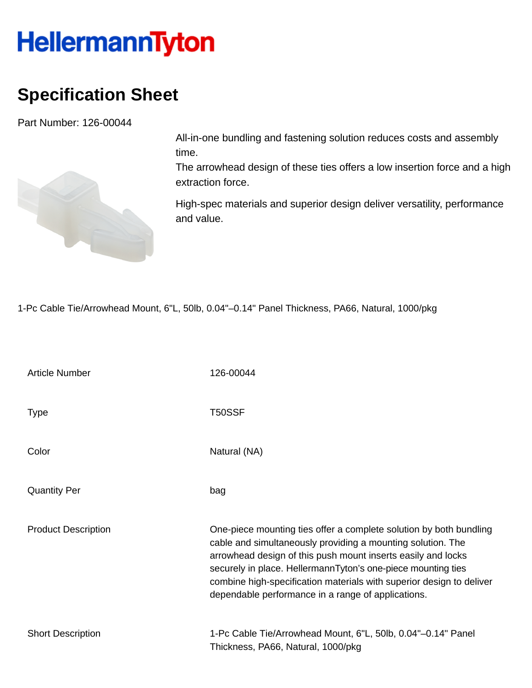## **HellermannTyton**

## **Specification Sheet**

Part Number: 126-00044



All-in-one bundling and fastening solution reduces costs and assembly time.

The arrowhead design of these ties offers a low insertion force and a high extraction force.

High-spec materials and superior design deliver versatility, performance and value.

1-Pc Cable Tie/Arrowhead Mount, 6"L, 50lb, 0.04"–0.14" Panel Thickness, PA66, Natural, 1000/pkg

| <b>Article Number</b>      | 126-00044                                                                                                                                                                                                                                                                                                                                                                                       |
|----------------------------|-------------------------------------------------------------------------------------------------------------------------------------------------------------------------------------------------------------------------------------------------------------------------------------------------------------------------------------------------------------------------------------------------|
| Type                       | T50SSF                                                                                                                                                                                                                                                                                                                                                                                          |
| Color                      | Natural (NA)                                                                                                                                                                                                                                                                                                                                                                                    |
| <b>Quantity Per</b>        | bag                                                                                                                                                                                                                                                                                                                                                                                             |
| <b>Product Description</b> | One-piece mounting ties offer a complete solution by both bundling<br>cable and simultaneously providing a mounting solution. The<br>arrowhead design of this push mount inserts easily and locks<br>securely in place. HellermannTyton's one-piece mounting ties<br>combine high-specification materials with superior design to deliver<br>dependable performance in a range of applications. |
| <b>Short Description</b>   | 1-Pc Cable Tie/Arrowhead Mount, 6"L, 50lb, 0.04"-0.14" Panel<br>Thickness, PA66, Natural, 1000/pkg                                                                                                                                                                                                                                                                                              |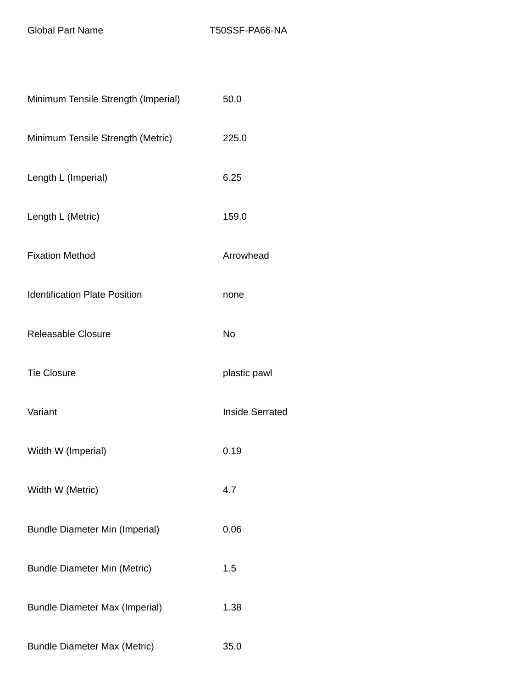| Minimum Tensile Strength (Imperial)   | 50.0                   |
|---------------------------------------|------------------------|
| Minimum Tensile Strength (Metric)     | 225.0                  |
| Length L (Imperial)                   | 6.25                   |
| Length L (Metric)                     | 159.0                  |
| <b>Fixation Method</b>                | Arrowhead              |
| <b>Identification Plate Position</b>  | none                   |
| Releasable Closure                    | No                     |
| <b>Tie Closure</b>                    | plastic pawl           |
| Variant                               | <b>Inside Serrated</b> |
| Width W (Imperial)                    | 0.19                   |
| Width W (Metric)                      | 4.7                    |
| <b>Bundle Diameter Min (Imperial)</b> | 0.06                   |
| <b>Bundle Diameter Min (Metric)</b>   | 1.5                    |
| <b>Bundle Diameter Max (Imperial)</b> | 1.38                   |
| <b>Bundle Diameter Max (Metric)</b>   | 35.0                   |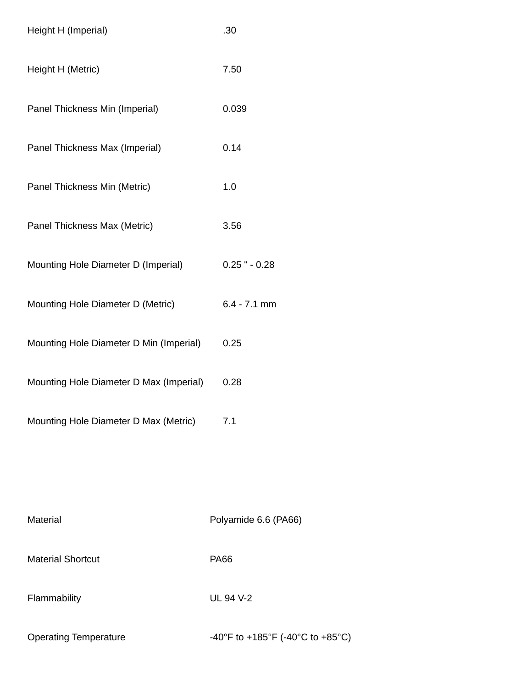| Height H (Imperial)                     | .30              |
|-----------------------------------------|------------------|
| Height H (Metric)                       | 7.50             |
| Panel Thickness Min (Imperial)          | 0.039            |
| Panel Thickness Max (Imperial)          | 0.14             |
| Panel Thickness Min (Metric)            | 1.0              |
| Panel Thickness Max (Metric)            | 3.56             |
| Mounting Hole Diameter D (Imperial)     | $0.25$ " $-0.28$ |
| Mounting Hole Diameter D (Metric)       | $6.4 - 7.1$ mm   |
| Mounting Hole Diameter D Min (Imperial) | 0.25             |
| Mounting Hole Diameter D Max (Imperial) | 0.28             |
| Mounting Hole Diameter D Max (Metric)   | 7.1              |
|                                         |                  |

| <b>Material</b>              | Polyamide 6.6 (PA66)             |
|------------------------------|----------------------------------|
| <b>Material Shortcut</b>     | <b>PA66</b>                      |
| Flammability                 | UL 94 V-2                        |
| <b>Operating Temperature</b> | -40°F to +185°F (-40°C to +85°C) |